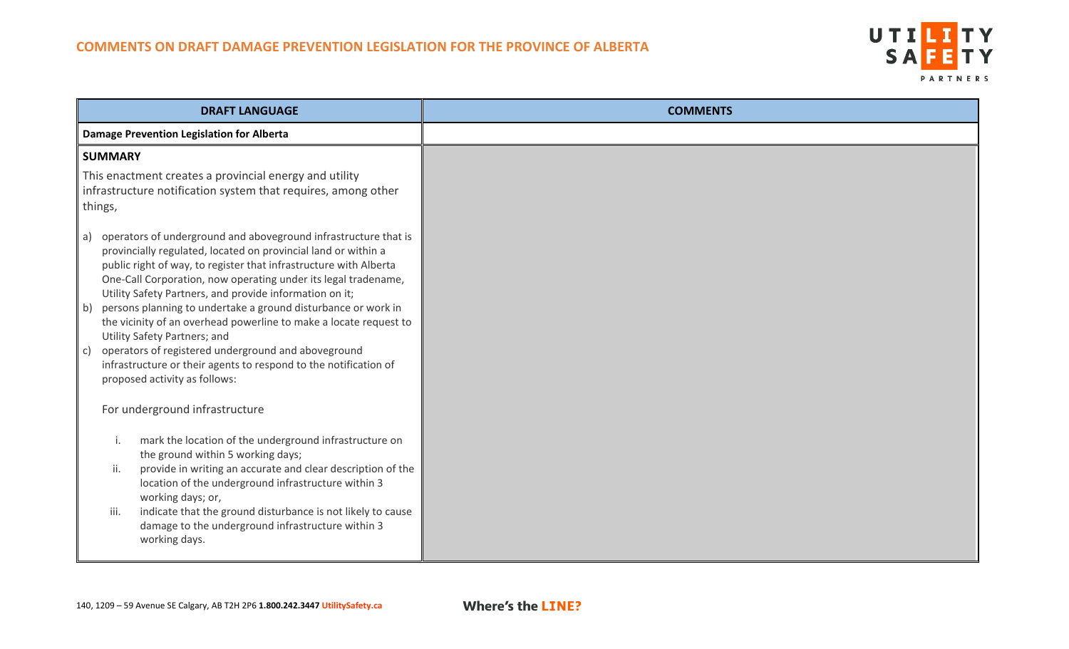

| <b>DRAFT LANGUAGE</b>                                                                                                                                                                                                                                                                                                                                                                                                                                                                                                                                                                                                                                                                             | <b>COMMENTS</b> |
|---------------------------------------------------------------------------------------------------------------------------------------------------------------------------------------------------------------------------------------------------------------------------------------------------------------------------------------------------------------------------------------------------------------------------------------------------------------------------------------------------------------------------------------------------------------------------------------------------------------------------------------------------------------------------------------------------|-----------------|
| Damage Prevention Legislation for Alberta                                                                                                                                                                                                                                                                                                                                                                                                                                                                                                                                                                                                                                                         |                 |
| <b>SUMMARY</b>                                                                                                                                                                                                                                                                                                                                                                                                                                                                                                                                                                                                                                                                                    |                 |
| This enactment creates a provincial energy and utility<br>infrastructure notification system that requires, among other<br>things,                                                                                                                                                                                                                                                                                                                                                                                                                                                                                                                                                                |                 |
| operators of underground and aboveground infrastructure that is<br>a)<br>provincially regulated, located on provincial land or within a<br>public right of way, to register that infrastructure with Alberta<br>One-Call Corporation, now operating under its legal tradename,<br>Utility Safety Partners, and provide information on it;<br>persons planning to undertake a ground disturbance or work in<br>b)<br>the vicinity of an overhead powerline to make a locate request to<br>Utility Safety Partners; and<br>operators of registered underground and aboveground<br>$\mathsf{C}$<br>infrastructure or their agents to respond to the notification of<br>proposed activity as follows: |                 |
| For underground infrastructure                                                                                                                                                                                                                                                                                                                                                                                                                                                                                                                                                                                                                                                                    |                 |
| mark the location of the underground infrastructure on<br>the ground within 5 working days;<br>provide in writing an accurate and clear description of the<br>ii.<br>location of the underground infrastructure within 3<br>working days; or,<br>indicate that the ground disturbance is not likely to cause<br>iii.<br>damage to the underground infrastructure within 3<br>working days.                                                                                                                                                                                                                                                                                                        |                 |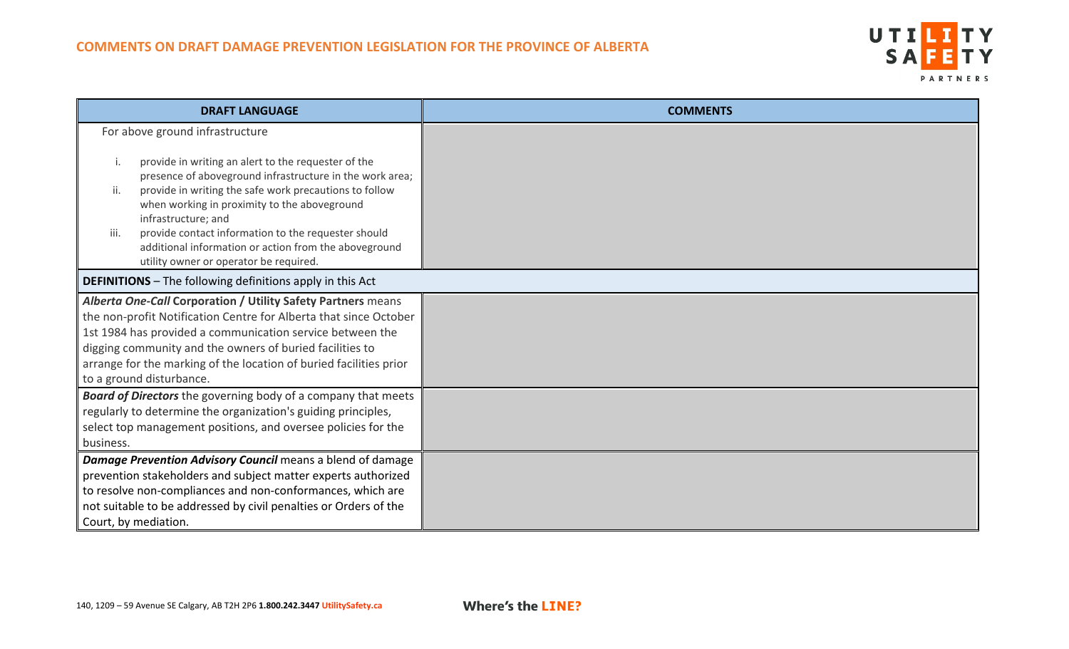

| <b>DRAFT LANGUAGE</b>                                                                                         | <b>COMMENTS</b> |
|---------------------------------------------------------------------------------------------------------------|-----------------|
| For above ground infrastructure<br>provide in writing an alert to the requester of the                        |                 |
| presence of aboveground infrastructure in the work area;                                                      |                 |
| provide in writing the safe work precautions to follow<br>ii.<br>when working in proximity to the aboveground |                 |
| infrastructure; and<br>provide contact information to the requester should<br>iii.                            |                 |
| additional information or action from the aboveground                                                         |                 |
| utility owner or operator be required.                                                                        |                 |
| <b>DEFINITIONS</b> - The following definitions apply in this Act                                              |                 |
| Alberta One-Call Corporation / Utility Safety Partners means                                                  |                 |
| the non-profit Notification Centre for Alberta that since October                                             |                 |
| 1st 1984 has provided a communication service between the                                                     |                 |
| digging community and the owners of buried facilities to                                                      |                 |
| arrange for the marking of the location of buried facilities prior                                            |                 |
| to a ground disturbance.                                                                                      |                 |
| Board of Directors the governing body of a company that meets                                                 |                 |
| regularly to determine the organization's guiding principles,                                                 |                 |
| select top management positions, and oversee policies for the                                                 |                 |
| business.                                                                                                     |                 |
| Damage Prevention Advisory Council means a blend of damage                                                    |                 |
| prevention stakeholders and subject matter experts authorized                                                 |                 |
| to resolve non-compliances and non-conformances, which are                                                    |                 |
| not suitable to be addressed by civil penalties or Orders of the                                              |                 |
| Court, by mediation.                                                                                          |                 |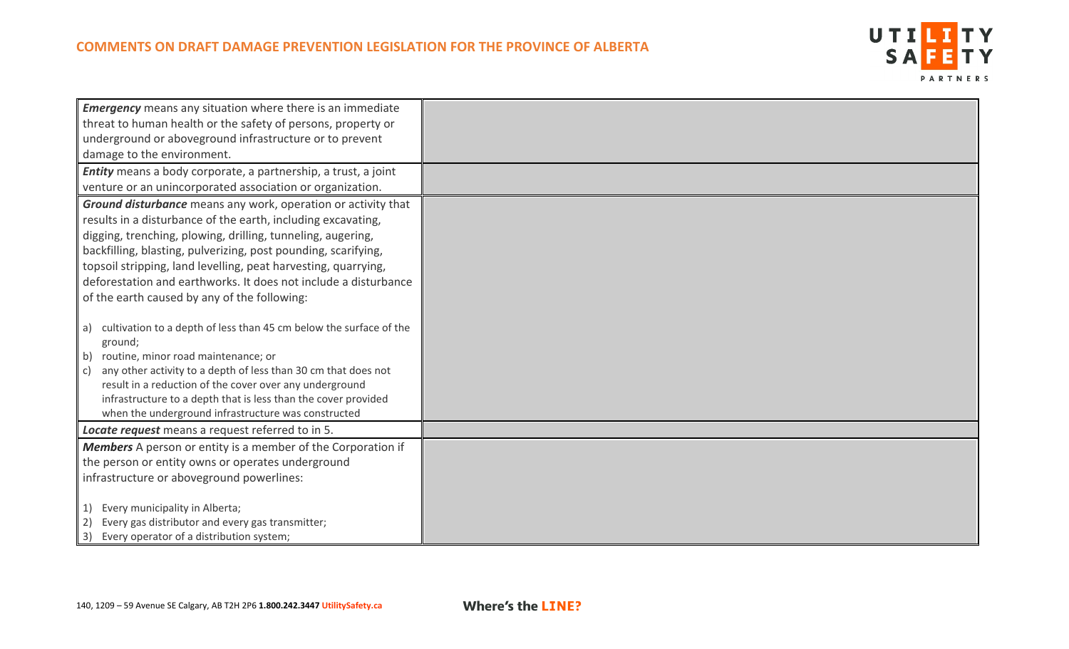

| <b>Emergency</b> means any situation where there is an immediate                                                          |  |
|---------------------------------------------------------------------------------------------------------------------------|--|
| threat to human health or the safety of persons, property or                                                              |  |
| underground or aboveground infrastructure or to prevent                                                                   |  |
| damage to the environment.                                                                                                |  |
| Entity means a body corporate, a partnership, a trust, a joint                                                            |  |
| venture or an unincorporated association or organization.                                                                 |  |
| Ground disturbance means any work, operation or activity that                                                             |  |
| results in a disturbance of the earth, including excavating,                                                              |  |
| digging, trenching, plowing, drilling, tunneling, augering,                                                               |  |
| backfilling, blasting, pulverizing, post pounding, scarifying,                                                            |  |
| topsoil stripping, land levelling, peat harvesting, quarrying,                                                            |  |
| deforestation and earthworks. It does not include a disturbance                                                           |  |
| of the earth caused by any of the following:                                                                              |  |
|                                                                                                                           |  |
| cultivation to a depth of less than 45 cm below the surface of the<br>a)                                                  |  |
| ground;                                                                                                                   |  |
| routine, minor road maintenance; or<br>b)                                                                                 |  |
| any other activity to a depth of less than 30 cm that does not<br>C)                                                      |  |
| result in a reduction of the cover over any underground<br>infrastructure to a depth that is less than the cover provided |  |
| when the underground infrastructure was constructed                                                                       |  |
| Locate request means a request referred to in 5.                                                                          |  |
| Members A person or entity is a member of the Corporation if                                                              |  |
|                                                                                                                           |  |
| the person or entity owns or operates underground                                                                         |  |
| infrastructure or aboveground powerlines:                                                                                 |  |
| Every municipality in Alberta;                                                                                            |  |
| Every gas distributor and every gas transmitter;<br>$\mathbf{2}$                                                          |  |
| Every operator of a distribution system;<br>3)                                                                            |  |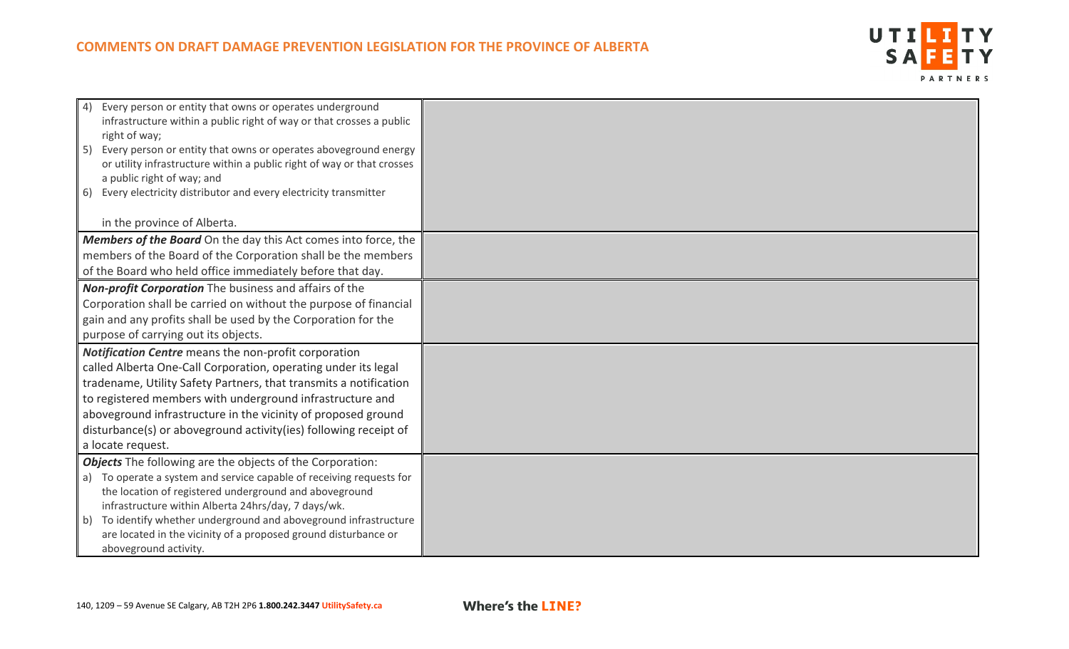

| 4) Every person or entity that owns or operates underground<br>infrastructure within a public right of way or that crosses a public<br>right of way;<br>5) Every person or entity that owns or operates aboveground energy<br>or utility infrastructure within a public right of way or that crosses<br>a public right of way; and<br>6) Every electricity distributor and every electricity transmitter                   |  |
|----------------------------------------------------------------------------------------------------------------------------------------------------------------------------------------------------------------------------------------------------------------------------------------------------------------------------------------------------------------------------------------------------------------------------|--|
| in the province of Alberta.                                                                                                                                                                                                                                                                                                                                                                                                |  |
| <b>Members of the Board</b> On the day this Act comes into force, the<br>members of the Board of the Corporation shall be the members<br>of the Board who held office immediately before that day.                                                                                                                                                                                                                         |  |
| <b>Non-profit Corporation</b> The business and affairs of the<br>Corporation shall be carried on without the purpose of financial<br>gain and any profits shall be used by the Corporation for the<br>purpose of carrying out its objects.                                                                                                                                                                                 |  |
| Notification Centre means the non-profit corporation<br>called Alberta One-Call Corporation, operating under its legal<br>tradename, Utility Safety Partners, that transmits a notification<br>to registered members with underground infrastructure and<br>aboveground infrastructure in the vicinity of proposed ground<br>disturbance(s) or aboveground activity(ies) following receipt of<br>a locate request.         |  |
| <b>Objects</b> The following are the objects of the Corporation:<br>a) To operate a system and service capable of receiving requests for<br>the location of registered underground and aboveground<br>infrastructure within Alberta 24hrs/day, 7 days/wk.<br>b) To identify whether underground and aboveground infrastructure<br>are located in the vicinity of a proposed ground disturbance or<br>aboveground activity. |  |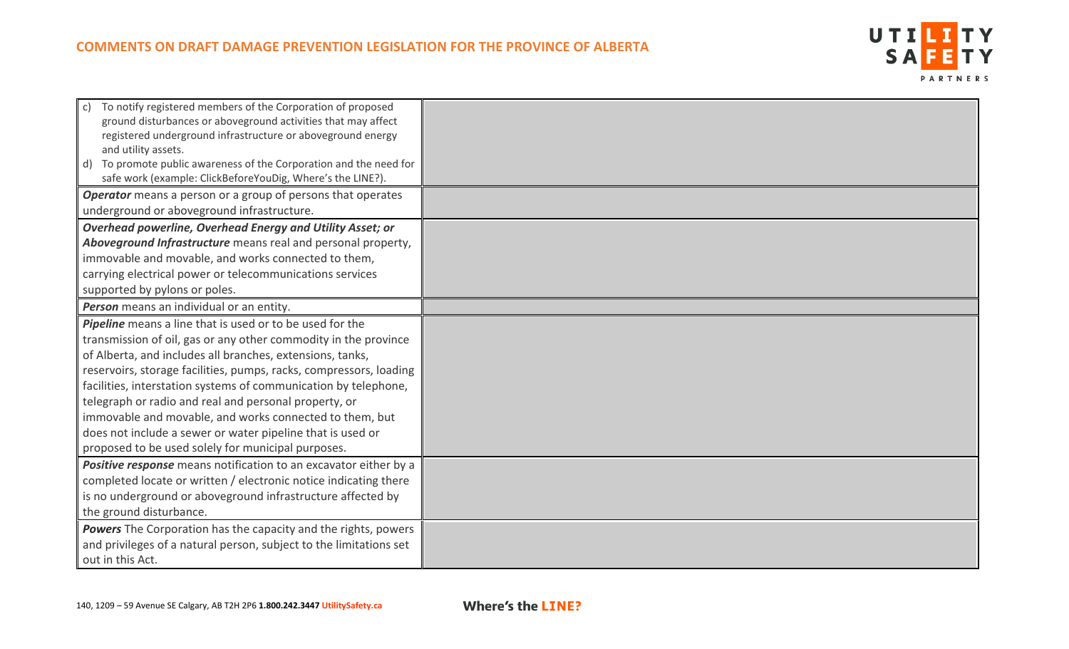

| To notify registered members of the Corporation of proposed<br>$\mathsf{C}$<br>ground disturbances or aboveground activities that may affect<br>registered underground infrastructure or aboveground energy<br>and utility assets.<br>d) To promote public awareness of the Corporation and the need for |  |
|----------------------------------------------------------------------------------------------------------------------------------------------------------------------------------------------------------------------------------------------------------------------------------------------------------|--|
| safe work (example: ClickBeforeYouDig, Where's the LINE?).                                                                                                                                                                                                                                               |  |
| <b>Operator</b> means a person or a group of persons that operates                                                                                                                                                                                                                                       |  |
| underground or aboveground infrastructure.                                                                                                                                                                                                                                                               |  |
| Overhead powerline, Overhead Energy and Utility Asset; or                                                                                                                                                                                                                                                |  |
| Aboveground Infrastructure means real and personal property,                                                                                                                                                                                                                                             |  |
| immovable and movable, and works connected to them,                                                                                                                                                                                                                                                      |  |
| carrying electrical power or telecommunications services                                                                                                                                                                                                                                                 |  |
| supported by pylons or poles.                                                                                                                                                                                                                                                                            |  |
| Person means an individual or an entity.                                                                                                                                                                                                                                                                 |  |
| Pipeline means a line that is used or to be used for the                                                                                                                                                                                                                                                 |  |
| transmission of oil, gas or any other commodity in the province                                                                                                                                                                                                                                          |  |
| of Alberta, and includes all branches, extensions, tanks,                                                                                                                                                                                                                                                |  |
| reservoirs, storage facilities, pumps, racks, compressors, loading                                                                                                                                                                                                                                       |  |
| facilities, interstation systems of communication by telephone,                                                                                                                                                                                                                                          |  |
| telegraph or radio and real and personal property, or                                                                                                                                                                                                                                                    |  |
| immovable and movable, and works connected to them, but                                                                                                                                                                                                                                                  |  |
| does not include a sewer or water pipeline that is used or                                                                                                                                                                                                                                               |  |
| proposed to be used solely for municipal purposes.                                                                                                                                                                                                                                                       |  |
| Positive response means notification to an excavator either by a                                                                                                                                                                                                                                         |  |
| completed locate or written / electronic notice indicating there                                                                                                                                                                                                                                         |  |
| is no underground or aboveground infrastructure affected by                                                                                                                                                                                                                                              |  |
| the ground disturbance.                                                                                                                                                                                                                                                                                  |  |
| Powers The Corporation has the capacity and the rights, powers                                                                                                                                                                                                                                           |  |
| and privileges of a natural person, subject to the limitations set                                                                                                                                                                                                                                       |  |
| out in this Act.                                                                                                                                                                                                                                                                                         |  |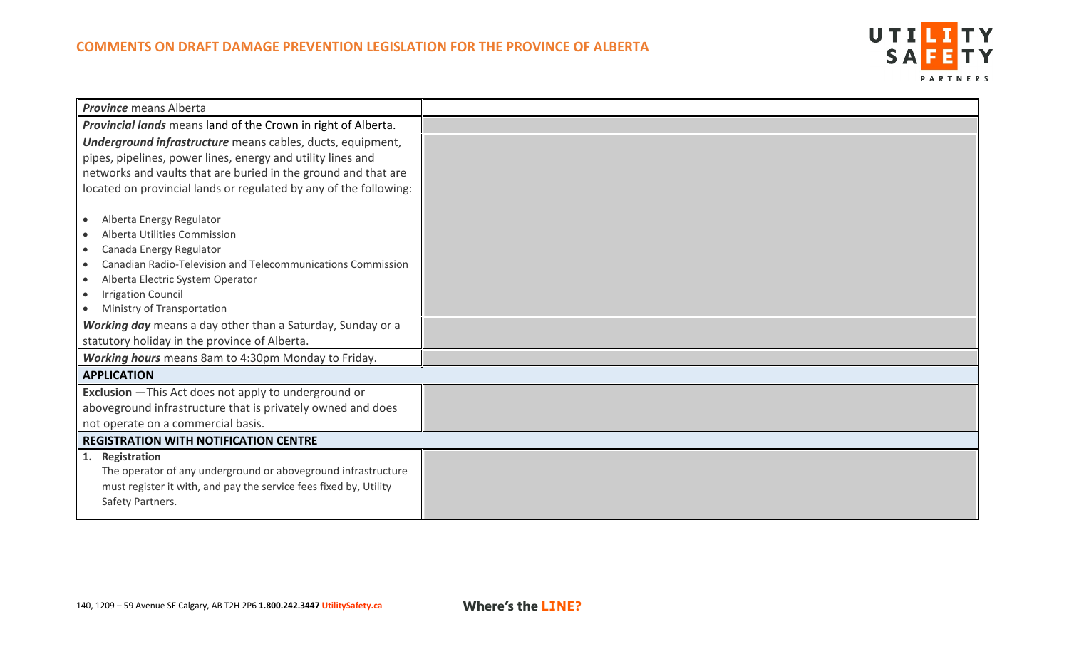

| <b>Province</b> means Alberta                                      |  |
|--------------------------------------------------------------------|--|
| Provincial lands means land of the Crown in right of Alberta.      |  |
| Underground infrastructure means cables, ducts, equipment,         |  |
| pipes, pipelines, power lines, energy and utility lines and        |  |
| networks and vaults that are buried in the ground and that are     |  |
| located on provincial lands or regulated by any of the following:  |  |
|                                                                    |  |
| Alberta Energy Regulator<br>$\bullet$                              |  |
| Alberta Utilities Commission                                       |  |
| Canada Energy Regulator                                            |  |
| <b>Canadian Radio-Television and Telecommunications Commission</b> |  |
| Alberta Electric System Operator                                   |  |
| <b>Irrigation Council</b>                                          |  |
| Ministry of Transportation<br>$\bullet$                            |  |
| Working day means a day other than a Saturday, Sunday or a         |  |
| statutory holiday in the province of Alberta.                      |  |
| Working hours means 8am to 4:30pm Monday to Friday.                |  |
| <b>APPLICATION</b>                                                 |  |
| <b>Exclusion</b> - This Act does not apply to underground or       |  |
| aboveground infrastructure that is privately owned and does        |  |
| not operate on a commercial basis.                                 |  |
| <b>REGISTRATION WITH NOTIFICATION CENTRE</b>                       |  |
| 1. Registration                                                    |  |
| The operator of any underground or aboveground infrastructure      |  |
| must register it with, and pay the service fees fixed by, Utility  |  |
| Safety Partners.                                                   |  |
|                                                                    |  |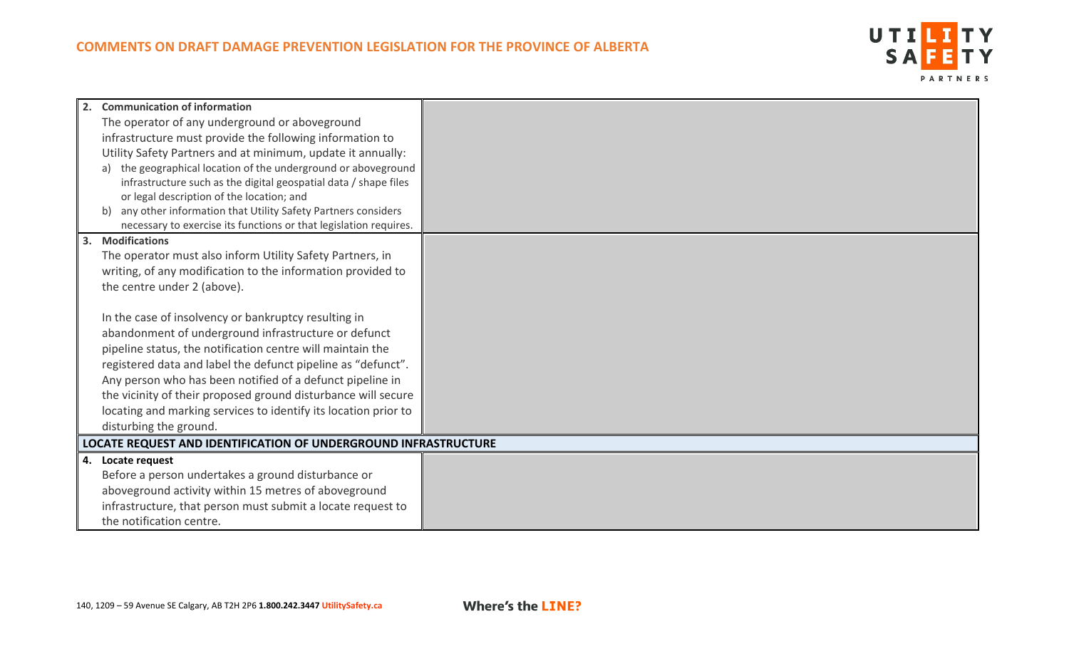

| 2. Communication of information                                              |  |
|------------------------------------------------------------------------------|--|
| The operator of any underground or aboveground                               |  |
| infrastructure must provide the following information to                     |  |
| Utility Safety Partners and at minimum, update it annually:                  |  |
| a) the geographical location of the underground or aboveground               |  |
| infrastructure such as the digital geospatial data / shape files             |  |
| or legal description of the location; and                                    |  |
| any other information that Utility Safety Partners considers<br>$\mathbf{b}$ |  |
| necessary to exercise its functions or that legislation requires.            |  |
| 3. Modifications                                                             |  |
| The operator must also inform Utility Safety Partners, in                    |  |
| writing, of any modification to the information provided to                  |  |
| the centre under 2 (above).                                                  |  |
|                                                                              |  |
| In the case of insolvency or bankruptcy resulting in                         |  |
| abandonment of underground infrastructure or defunct                         |  |
| pipeline status, the notification centre will maintain the                   |  |
| registered data and label the defunct pipeline as "defunct".                 |  |
| Any person who has been notified of a defunct pipeline in                    |  |
| the vicinity of their proposed ground disturbance will secure                |  |
| locating and marking services to identify its location prior to              |  |
| disturbing the ground.                                                       |  |
| <b>LOCATE REQUEST AND IDENTIFICATION OF UNDERGROUND INFRASTRUCTURE</b>       |  |
| 4. Locate request                                                            |  |
| Before a person undertakes a ground disturbance or                           |  |
| aboveground activity within 15 metres of aboveground                         |  |
| infrastructure, that person must submit a locate request to                  |  |
| the notification centre.                                                     |  |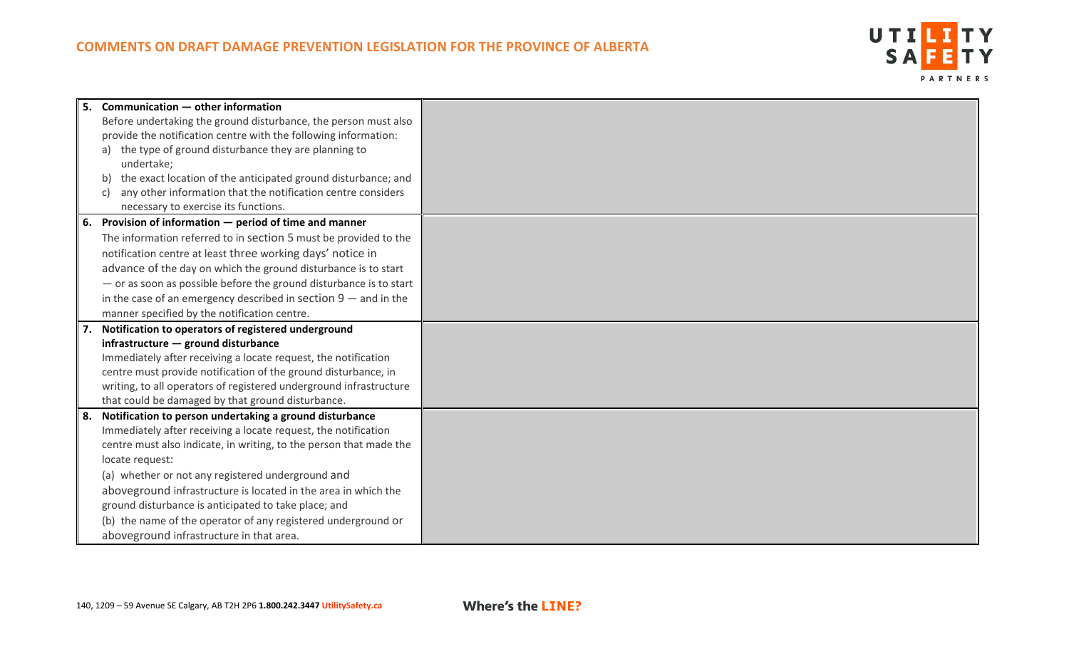

| 5.   | Communication - other information                                    |  |
|------|----------------------------------------------------------------------|--|
|      | Before undertaking the ground disturbance, the person must also      |  |
|      | provide the notification centre with the following information:      |  |
|      | the type of ground disturbance they are planning to                  |  |
|      | undertake;                                                           |  |
|      | the exact location of the anticipated ground disturbance; and<br>b)  |  |
|      | any other information that the notification centre considers<br>C)   |  |
|      | necessary to exercise its functions.                                 |  |
| 6.   | Provision of information - period of time and manner                 |  |
|      | The information referred to in section 5 must be provided to the     |  |
|      | notification centre at least three working days' notice in           |  |
|      | advance of the day on which the ground disturbance is to start       |  |
|      | $-$ or as soon as possible before the ground disturbance is to start |  |
|      | in the case of an emergency described in section $9$ – and in the    |  |
|      | manner specified by the notification centre.                         |  |
|      |                                                                      |  |
|      | Notification to operators of registered underground                  |  |
|      | infrastructure - ground disturbance                                  |  |
|      | Immediately after receiving a locate request, the notification       |  |
|      | centre must provide notification of the ground disturbance, in       |  |
|      | writing, to all operators of registered underground infrastructure   |  |
|      | that could be damaged by that ground disturbance.                    |  |
| l 8. | Notification to person undertaking a ground disturbance              |  |
|      | Immediately after receiving a locate request, the notification       |  |
|      | centre must also indicate, in writing, to the person that made the   |  |
|      | locate request:                                                      |  |
|      | (a) whether or not any registered underground and                    |  |
|      | aboveground infrastructure is located in the area in which the       |  |
|      | ground disturbance is anticipated to take place; and                 |  |
|      | (b) the name of the operator of any registered underground or        |  |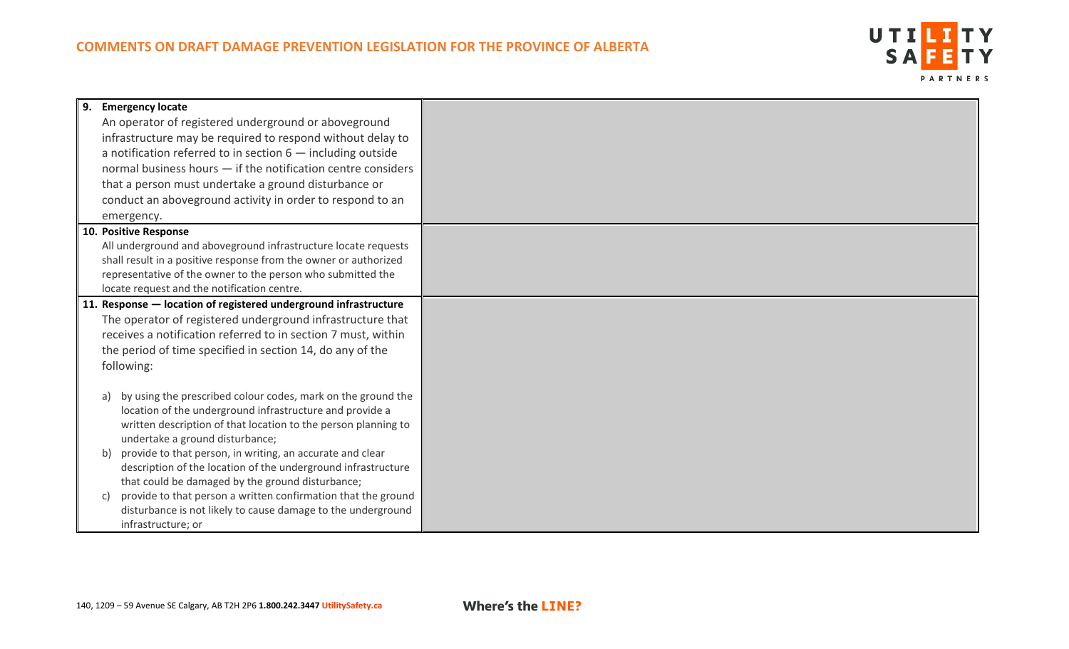

| 9. Emergency locate                                                                                                     |  |
|-------------------------------------------------------------------------------------------------------------------------|--|
| An operator of registered underground or aboveground                                                                    |  |
| infrastructure may be required to respond without delay to                                                              |  |
| a notification referred to in section $6$ - including outside                                                           |  |
| normal business hours $-$ if the notification centre considers                                                          |  |
| that a person must undertake a ground disturbance or                                                                    |  |
| conduct an aboveground activity in order to respond to an                                                               |  |
| emergency.                                                                                                              |  |
| 10. Positive Response                                                                                                   |  |
| All underground and aboveground infrastructure locate requests                                                          |  |
| shall result in a positive response from the owner or authorized                                                        |  |
| representative of the owner to the person who submitted the                                                             |  |
| locate request and the notification centre.                                                                             |  |
| 11. Response - location of registered underground infrastructure                                                        |  |
| The operator of registered underground infrastructure that                                                              |  |
| receives a notification referred to in section 7 must, within                                                           |  |
| the period of time specified in section 14, do any of the                                                               |  |
| following:                                                                                                              |  |
|                                                                                                                         |  |
| by using the prescribed colour codes, mark on the ground the<br>a)                                                      |  |
| location of the underground infrastructure and provide a                                                                |  |
| written description of that location to the person planning to                                                          |  |
| undertake a ground disturbance;                                                                                         |  |
| provide to that person, in writing, an accurate and clear<br>b)                                                         |  |
| description of the location of the underground infrastructure                                                           |  |
| that could be damaged by the ground disturbance;<br>provide to that person a written confirmation that the ground<br>C) |  |
| disturbance is not likely to cause damage to the underground                                                            |  |
|                                                                                                                         |  |
| infrastructure; or                                                                                                      |  |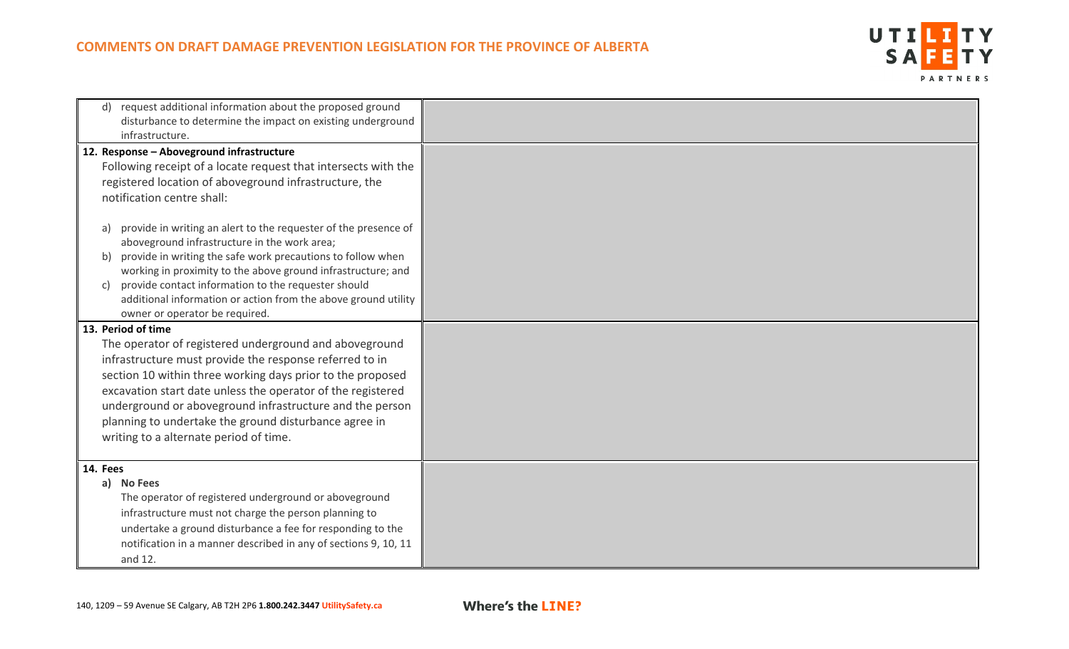

| request additional information about the proposed ground<br>disturbance to determine the impact on existing underground<br>infrastructure.                                                                                                                                                                                                                                                                                                                                                                                                                                                       |  |
|--------------------------------------------------------------------------------------------------------------------------------------------------------------------------------------------------------------------------------------------------------------------------------------------------------------------------------------------------------------------------------------------------------------------------------------------------------------------------------------------------------------------------------------------------------------------------------------------------|--|
| 12. Response - Aboveground infrastructure<br>Following receipt of a locate request that intersects with the<br>registered location of aboveground infrastructure, the<br>notification centre shall:<br>provide in writing an alert to the requester of the presence of<br>a)<br>aboveground infrastructure in the work area;<br>provide in writing the safe work precautions to follow when<br>b)<br>working in proximity to the above ground infrastructure; and<br>provide contact information to the requester should<br>C)<br>additional information or action from the above ground utility |  |
| owner or operator be required.<br>13. Period of time<br>The operator of registered underground and aboveground<br>infrastructure must provide the response referred to in<br>section 10 within three working days prior to the proposed<br>excavation start date unless the operator of the registered<br>underground or aboveground infrastructure and the person<br>planning to undertake the ground disturbance agree in<br>writing to a alternate period of time.                                                                                                                            |  |
| 14. Fees<br>a) No Fees<br>The operator of registered underground or aboveground<br>infrastructure must not charge the person planning to<br>undertake a ground disturbance a fee for responding to the<br>notification in a manner described in any of sections 9, 10, 11<br>and 12.                                                                                                                                                                                                                                                                                                             |  |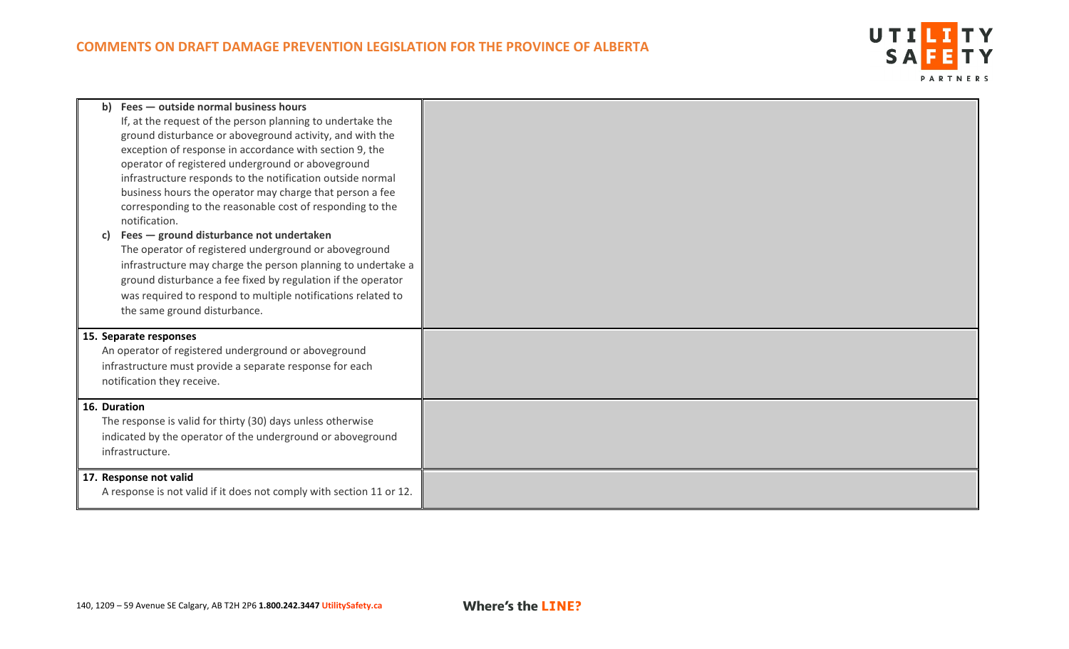

| C)           | b) Fees - outside normal business hours<br>If, at the request of the person planning to undertake the<br>ground disturbance or aboveground activity, and with the<br>exception of response in accordance with section 9, the<br>operator of registered underground or aboveground<br>infrastructure responds to the notification outside normal<br>business hours the operator may charge that person a fee<br>corresponding to the reasonable cost of responding to the<br>notification.<br>Fees - ground disturbance not undertaken<br>The operator of registered underground or aboveground<br>infrastructure may charge the person planning to undertake a<br>ground disturbance a fee fixed by regulation if the operator<br>was required to respond to multiple notifications related to<br>the same ground disturbance. |  |
|--------------|--------------------------------------------------------------------------------------------------------------------------------------------------------------------------------------------------------------------------------------------------------------------------------------------------------------------------------------------------------------------------------------------------------------------------------------------------------------------------------------------------------------------------------------------------------------------------------------------------------------------------------------------------------------------------------------------------------------------------------------------------------------------------------------------------------------------------------|--|
|              | 15. Separate responses<br>An operator of registered underground or aboveground<br>infrastructure must provide a separate response for each<br>notification they receive.                                                                                                                                                                                                                                                                                                                                                                                                                                                                                                                                                                                                                                                       |  |
| 16. Duration | The response is valid for thirty (30) days unless otherwise<br>indicated by the operator of the underground or aboveground<br>infrastructure.                                                                                                                                                                                                                                                                                                                                                                                                                                                                                                                                                                                                                                                                                  |  |
|              | 17. Response not valid<br>A response is not valid if it does not comply with section 11 or 12.                                                                                                                                                                                                                                                                                                                                                                                                                                                                                                                                                                                                                                                                                                                                 |  |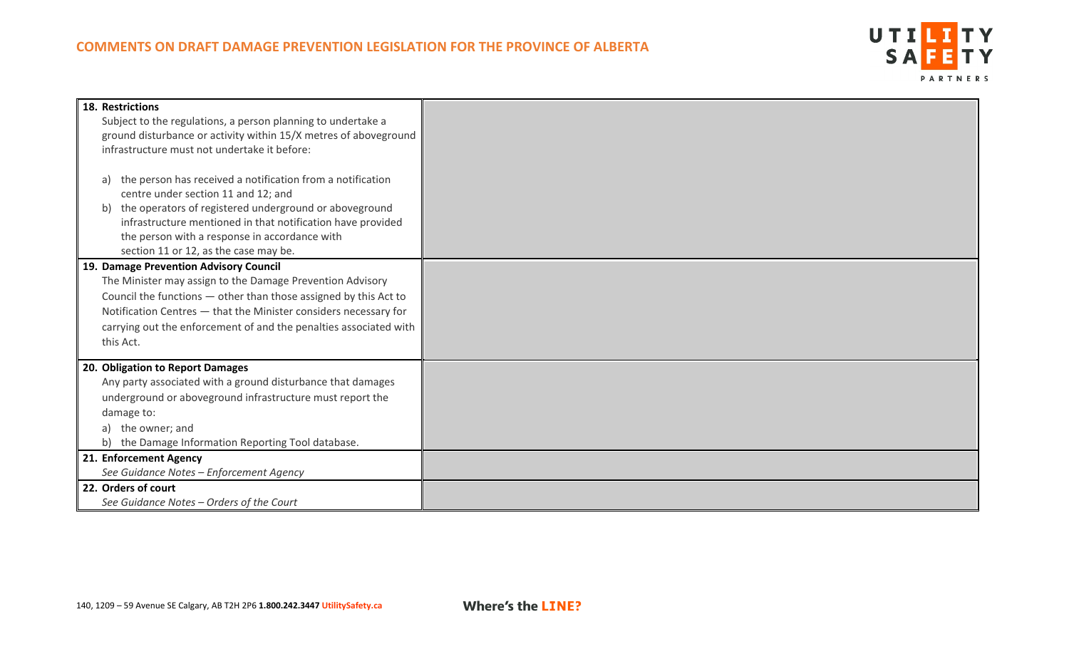## **COMMENTS ON DRAFT DAMAGE PREVENTION LEGISLATION FOR THE PROVINCE OF ALBERTA**



| 18. Restrictions<br>Subject to the regulations, a person planning to undertake a<br>ground disturbance or activity within 15/X metres of aboveground<br>infrastructure must not undertake it before:                                                                                                                             |  |
|----------------------------------------------------------------------------------------------------------------------------------------------------------------------------------------------------------------------------------------------------------------------------------------------------------------------------------|--|
| the person has received a notification from a notification<br>a)<br>centre under section 11 and 12; and<br>the operators of registered underground or aboveground<br>b)<br>infrastructure mentioned in that notification have provided<br>the person with a response in accordance with<br>section 11 or 12, as the case may be. |  |
| 19. Damage Prevention Advisory Council<br>The Minister may assign to the Damage Prevention Advisory<br>Council the functions - other than those assigned by this Act to<br>Notification Centres - that the Minister considers necessary for<br>carrying out the enforcement of and the penalties associated with<br>this Act.    |  |
| 20. Obligation to Report Damages<br>Any party associated with a ground disturbance that damages<br>underground or aboveground infrastructure must report the<br>damage to:<br>the owner; and<br>the Damage Information Reporting Tool database.<br>b)                                                                            |  |
| 21. Enforcement Agency<br>See Guidance Notes - Enforcement Agency                                                                                                                                                                                                                                                                |  |
| 22. Orders of court<br>See Guidance Notes - Orders of the Court                                                                                                                                                                                                                                                                  |  |